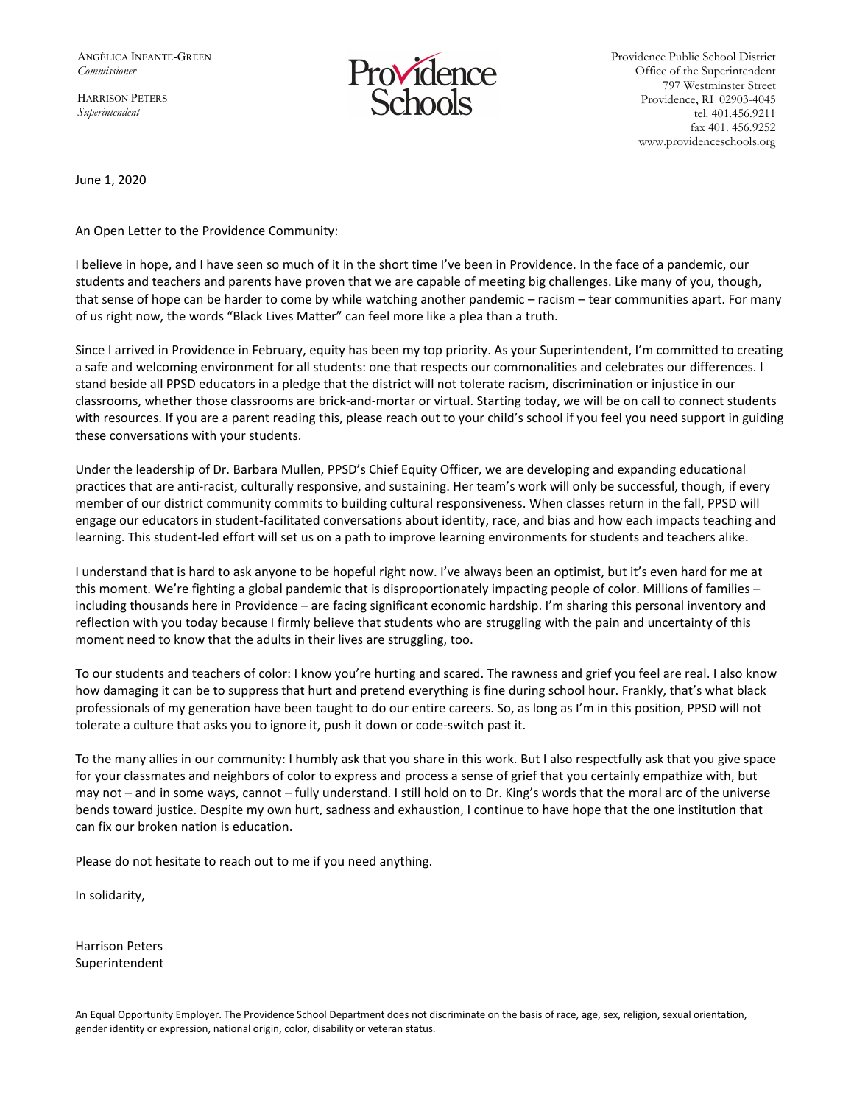ANGÉLICA INFANTE-GREEN *Commissioner* 

HARRISON PETERS *Superintendent*



Providence Public School District Office of the Superintendent 797 Westminster Street Providence, RI 02903-4045 tel. 401.456.9211 fax 401. 456.9252 www.providenceschools.org

June 1, 2020

An Open Letter to the Providence Community:

I believe in hope, and I have seen so much of it in the short time I've been in Providence. In the face of a pandemic, our students and teachers and parents have proven that we are capable of meeting big challenges. Like many of you, though, that sense of hope can be harder to come by while watching another pandemic – racism – tear communities apart. For many of us right now, the words "Black Lives Matter" can feel more like a plea than a truth.

Since I arrived in Providence in February, equity has been my top priority. As your Superintendent, I'm committed to creating a safe and welcoming environment for all students: one that respects our commonalities and celebrates our differences. I stand beside all PPSD educators in a pledge that the district will not tolerate racism, discrimination or injustice in our classrooms, whether those classrooms are brick-and-mortar or virtual. Starting today, we will be on call to connect students with resources. If you are a parent reading this, please reach out to your child's school if you feel you need support in guiding these conversations with your students.

Under the leadership of Dr. Barbara Mullen, PPSD's Chief Equity Officer, we are developing and expanding educational practices that are anti-racist, culturally responsive, and sustaining. Her team's work will only be successful, though, if every member of our district community commits to building cultural responsiveness. When classes return in the fall, PPSD will engage our educators in student-facilitated conversations about identity, race, and bias and how each impacts teaching and learning. This student-led effort will set us on a path to improve learning environments for students and teachers alike.

I understand that is hard to ask anyone to be hopeful right now. I've always been an optimist, but it's even hard for me at this moment. We're fighting a global pandemic that is disproportionately impacting people of color. Millions of families – including thousands here in Providence – are facing significant economic hardship. I'm sharing this personal inventory and reflection with you today because I firmly believe that students who are struggling with the pain and uncertainty of this moment need to know that the adults in their lives are struggling, too.

To our students and teachers of color: I know you're hurting and scared. The rawness and grief you feel are real. I also know how damaging it can be to suppress that hurt and pretend everything is fine during school hour. Frankly, that's what black professionals of my generation have been taught to do our entire careers. So, as long as I'm in this position, PPSD will not tolerate a culture that asks you to ignore it, push it down or code-switch past it.

To the many allies in our community: I humbly ask that you share in this work. But I also respectfully ask that you give space for your classmates and neighbors of color to express and process a sense of grief that you certainly empathize with, but may not – and in some ways, cannot – fully understand. I still hold on to Dr. King's words that the moral arc of the universe bends toward justice. Despite my own hurt, sadness and exhaustion, I continue to have hope that the one institution that can fix our broken nation is education.

Please do not hesitate to reach out to me if you need anything.

In solidarity,

Harrison Peters Superintendent

An Equal Opportunity Employer. The Providence School Department does not discriminate on the basis of race, age, sex, religion, sexual orientation, gender identity or expression, national origin, color, disability or veteran status.